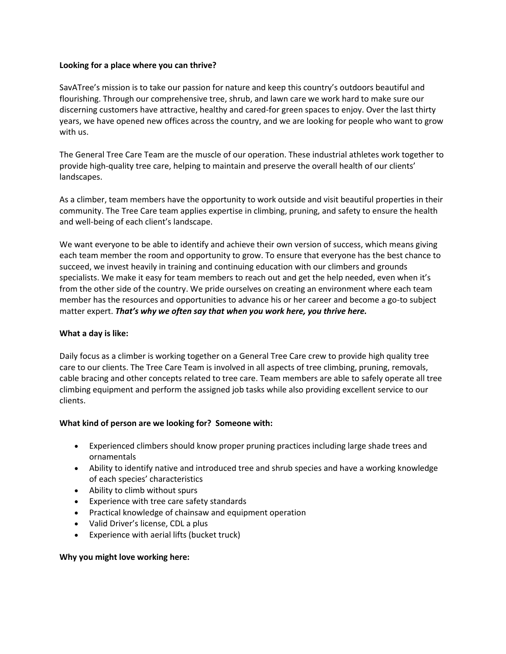### **Looking for a place where you can thrive?**

SavATree's mission is to take our passion for nature and keep this country's outdoors beautiful and flourishing. Through our comprehensive tree, shrub, and lawn care we work hard to make sure our discerning customers have attractive, healthy and cared-for green spaces to enjoy. Over the last thirty years, we have opened new offices across the country, and we are looking for people who want to grow with us.

The General Tree Care Team are the muscle of our operation. These industrial athletes work together to provide high-quality tree care, helping to maintain and preserve the overall health of our clients' landscapes.

As a climber, team members have the opportunity to work outside and visit beautiful properties in their community. The Tree Care team applies expertise in climbing, pruning, and safety to ensure the health and well-being of each client's landscape.

We want everyone to be able to identify and achieve their own version of success, which means giving each team member the room and opportunity to grow. To ensure that everyone has the best chance to succeed, we invest heavily in training and continuing education with our climbers and grounds specialists. We make it easy for team members to reach out and get the help needed, even when it's from the other side of the country. We pride ourselves on creating an environment where each team member has the resources and opportunities to advance his or her career and become a go-to subject matter expert. *That's why we often say that when you work here, you thrive here.*

## **What a day is like:**

Daily focus as a climber is working together on a General Tree Care crew to provide high quality tree care to our clients. The Tree Care Team is involved in all aspects of tree climbing, pruning, removals, cable bracing and other concepts related to tree care. Team members are able to safely operate all tree climbing equipment and perform the assigned job tasks while also providing excellent service to our clients.

## **What kind of person are we looking for? Someone with:**

- Experienced climbers should know proper pruning practices including large shade trees and ornamentals
- Ability to identify native and introduced tree and shrub species and have a working knowledge of each species' characteristics
- Ability to climb without spurs
- Experience with tree care safety standards
- Practical knowledge of chainsaw and equipment operation
- Valid Driver's license, CDL a plus
- Experience with aerial lifts (bucket truck)

## **Why you might love working here:**